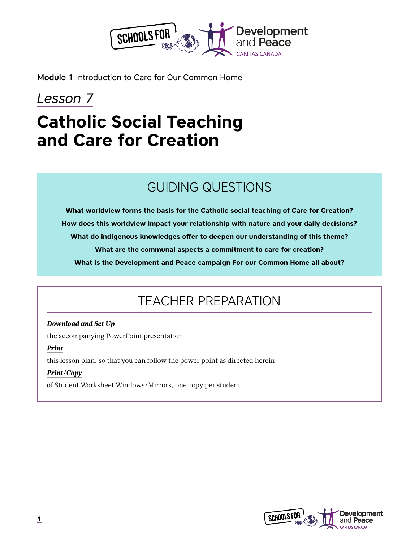

Module 1 Introduction to Care for Our Common Home

# *Lesson 7*

# **Catholic Social Teaching and Care for Creation**

## GUIDING QUESTIONS

**What worldview forms the basis for the Catholic social teaching of Care for Creation? How does this worldview impact your relationship with nature and your daily decisions? What do indigenous knowledges offer to deepen our understanding of this theme? What are the communal aspects a commitment to care for creation? What is the Development and Peace campaign For our Common Home all about?**

# TEACHER PREPARATION

#### *Download and Set Up*

the accompanying PowerPoint presentation

#### *Print*

this lesson plan, so that you can follow the power point as directed herein

#### *Print/Copy*

of Student Worksheet Windows/Mirrors, one copy per student

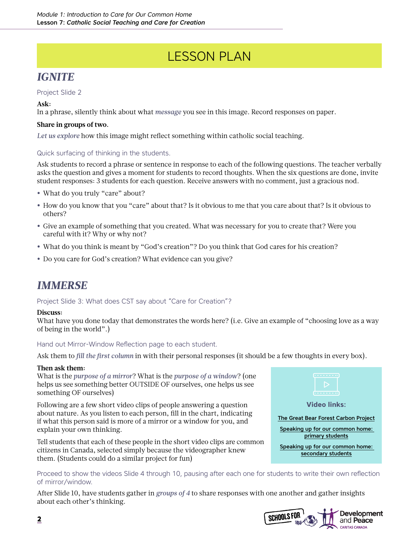# LESSON PLAN

### *IGNITE*

#### Project Slide 2

#### **Ask:**

In a phrase, silently think about what *message* you see in this image. Record responses on paper.

#### **Share in groups of two.**

*Let us explore* how this image might reflect something within catholic social teaching.

#### Quick surfacing of thinking in the students.

Ask students to record a phrase or sentence in response to each of the following questions. The teacher verbally asks the question and gives a moment for students to record thoughts. When the six questions are done, invite student responses: 3 students for each question. Receive answers with no comment, just a gracious nod.

- **•** What do you truly "care" about?
- **•** How do you know that you "care" about that? Is it obvious to me that you care about that? Is it obvious to others?
- **•** Give an example of something that you created. What was necessary for you to create that? Were you careful with it? Why or why not?
- **•** What do you think is meant by "God's creation"? Do you think that God cares for his creation?
- **•** Do you care for God's creation? What evidence can you give?

### *IMMERSE*

#### Project Slide 3: What does CST say about "Care for Creation"?

#### **Discuss:**

What have you done today that demonstrates the words here? (i.e. Give an example of "choosing love as a way" of being in the world".)

#### Hand out Mirror-Window Reflection page to each student.

Ask them to *fill the first column* in with their personal responses (it should be a few thoughts in every box).

#### **Then ask them:**

What is the *purpose of a mirror*? What is the *purpose of a window*? (one helps us see something better OUTSIDE OF ourselves, one helps us see something OF ourselves)

Following are a few short video clips of people answering a question about nature. As you listen to each person, fill in the chart, indicating if what this person said is more of a mirror or a window for you, and explain your own thinking.

Tell students that each of these people in the short video clips are common citizens in Canada, selected simply because the videographer knew them. (Students could do a similar project for fun)



Proceed to show the videos Slide 4 through 10, pausing after each one for students to write their own reflection of mirror/window.

After Slide 10, have students gather in *groups of 4* to share responses with one another and gather insights about each other's thinking.

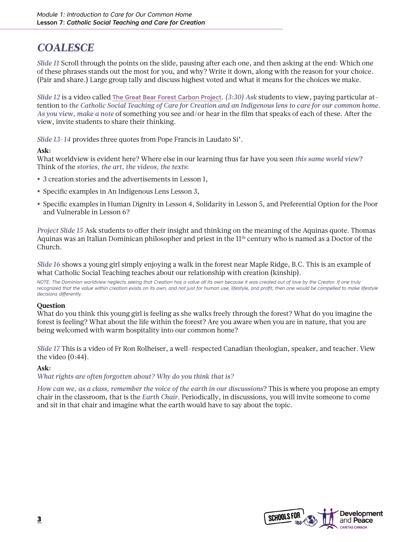### *COALESCE*

*Slide 11* Scroll through the points on the slide, pausing after each one, and then asking at the end: Which one of these phrases stands out the most for you, and why? Write it down, along with the reason for your choice. (Pair and share.) Large group tally and discuss highest voted and what it means for the choices we make.

*Slide 12* is a video called [The Great Bear Forest Carbon Project](https://www.youtube.com/watch?v=YgOrfHf-PMs). *(3:30) Ask* students to view, paying particular attention to *the Catholic Social Teaching of Care for Creation and an Indigenous lens to care for our common home. As you view, make a note* of something you see and/or hear in the film that speaks of each of these. After the view, invite students to share their thinking.

*Slide 13-14* provides three quotes from Pope Francis in Laudato Si'.

#### **Ask:**

What worldview is evident here? Where else in our learning thus far have you seen *this same world view*? Think of the *stories, the art, the videos, the texts*:

- **•** 3 creation stories and the advertisements in Lesson 1,
- **•** Specific examples in An Indigenous Lens Lesson 3,
- **•** Specific examples in Human Dignity in Lesson 4, Solidarity in Lesson 5, and Preferential Option for the Poor and Vulnerable in Lesson 6?

*Project Slide 15* Ask students to offer their insight and thinking on the meaning of the Aquinas quote. Thomas Aquinas was an Italian Dominican philosopher and priest in the 11<sup>th</sup> century who is named as a Doctor of the Church.

*Slide 16* shows a young girl simply enjoying a walk in the forest near Maple Ridge, B.C. This is an example of what Catholic Social Teaching teaches about our relationship with creation (kinship).

*NOTE: The Dominion worldview neglects seeing that Creation has a value all its own because it was created out of love by the Creator. If one truly*  recognized that the value within creation exists on its own, and not just for human use, lifestyle, and profit, then one would be compelled to make lifestyle *decisions differently.*

#### **Question**

What do you think this young girl is feeling as she walks freely through the forest? What do you imagine the forest is feeling? What about the life within the forest? Are you aware when you are in nature, that you are being welcomed with warm hospitality into our common home?

*Slide 17* This is a video of Fr Ron Rolheiser, a well-respected Canadian theologian, speaker, and teacher. View the video  $(0:44)$ .

#### **Ask:**

*What rights are often forgotten about? Why do you think that is?* 

*How can we, as a class, remember the voice of the earth in our discussions*? This is where you propose an empty chair in the classroom, that is the *Earth Chair*. Periodically, in discussions, you will invite someone to come and sit in that chair and imagine what the earth would have to say about the topic.

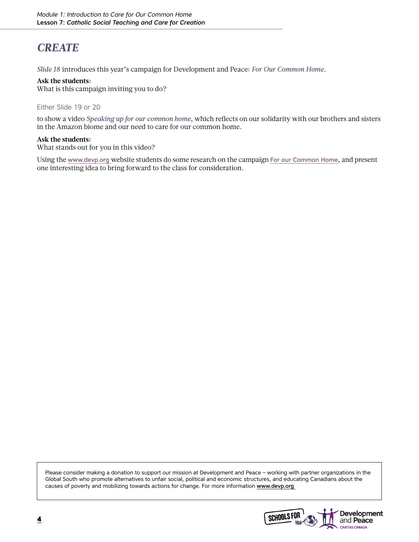### *CREATE*

*Slide 18* introduces this year's campaign for Development and Peace: *For Our Common Home*.

#### **Ask the students:**

What is this campaign inviting you to do?

#### Either Slide 19 or 20

to show a video *Speaking up for our common home*, which reflects on our solidarity with our brothers and sisters in the Amazon biome and our need to care for our common home.

#### **Ask the students:**

What stands out for you in this video?

Using the [www.devp.org](http://www.devp.org) website students do some research on the campaign [For our Common Home](https://www.devp.org/en/campaign/forourcommonhome), and present one interesting idea to bring forward to the class for consideration.

Please consider making a donation to support our mission at Development and Peace – working with partner organizations in the Global South who promote alternatives to unfair social, political and economic structures, and educating Canadians about the causes of poverty and mobilizing towards actions for change. For more information www.devp.org

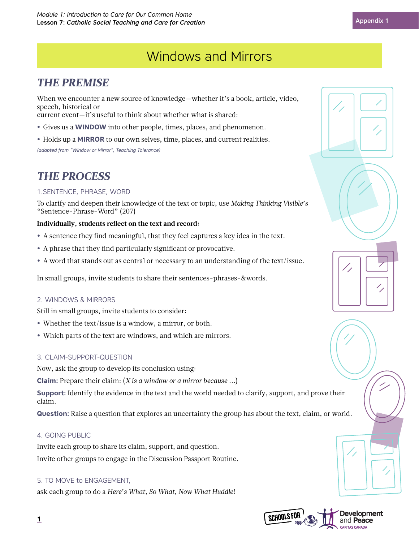### *THE PREMISE*

When we encounter a new source of knowledge—whether it's a book, article, video, speech, historical or

current event—it's useful to think about whether what is shared:

- **•** Gives us a **WINDOW** into other people, times, places, and phenomenon.
- **•** Holds up a **MIRROR** to our own selves, time, places, and current realities.

*(adapted from "Window or Mirror", Teaching Tolerance)*

### *THE PROCESS*

#### 1.SENTENCE, PHRASE, WORD

To clarify and deepen their knowledge of the text or topic, use *Making Thinking Visible's* "Sentence-Phrase-Word" (207)

#### **Individually, students reflect on the text and record:**

- **•** A sentence they find meaningful, that they feel captures a key idea in the text.
- **•** A phrase that they find particularly significant or provocative.
- **•** A word that stands out as central or necessary to an understanding of the text/issue.

In small groups, invite students to share their sentences-phrases-&words.

#### 2. WINDOWS & MIRRORS

Still in small groups, invite students to consider:

- **•** Whether the text/issue is a window, a mirror, or both.
- **•** Which parts of the text are windows, and which are mirrors.

#### 3. CLAIM-SUPPORT-QUESTION

Now, ask the group to develop its conclusion using:

**Claim:** Prepare their claim: (*X is a window or a mirror because ...*)

**Support:** Identify the evidence in the text and the world needed to clarify, support, and prove their claim.

**Question:** Raise a question that explores an uncertainty the group has about the text, claim, or world.

#### 4. GOING PUBLIC

Invite each group to share its claim, support, and question. Invite other groups to engage in the Discussion Passport Routine.

#### 5. TO MOVE to ENGAGEMENT,

ask each group to do a *Here's What, So What, Now What Huddle*!





**1**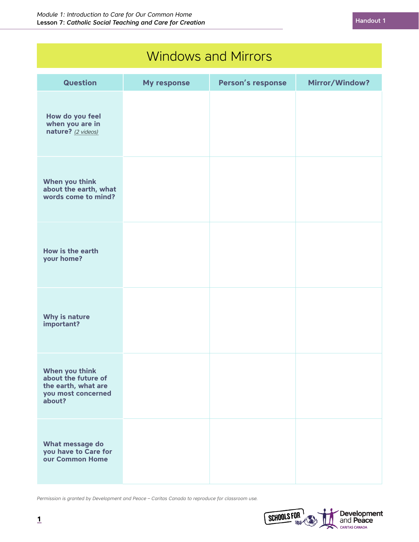# Windows and Mirrors

| <b>Question</b>                                                                              | <b>My response</b> | <b>Person's response</b> | <b>Mirror/Window?</b> |
|----------------------------------------------------------------------------------------------|--------------------|--------------------------|-----------------------|
| How do you feel<br>when you are in<br>nature? (2 videos)                                     |                    |                          |                       |
| When you think<br>about the earth, what<br>words come to mind?                               |                    |                          |                       |
| How is the earth<br>your home?                                                               |                    |                          |                       |
| Why is nature<br>important?                                                                  |                    |                          |                       |
| When you think<br>about the future of<br>the earth, what are<br>you most concerned<br>about? |                    |                          |                       |
| What message do<br>you have to Care for<br>our Common Home                                   |                    |                          |                       |

*Permission is granted by Development and Peace – Caritas Canada to reproduce for classroom use.*